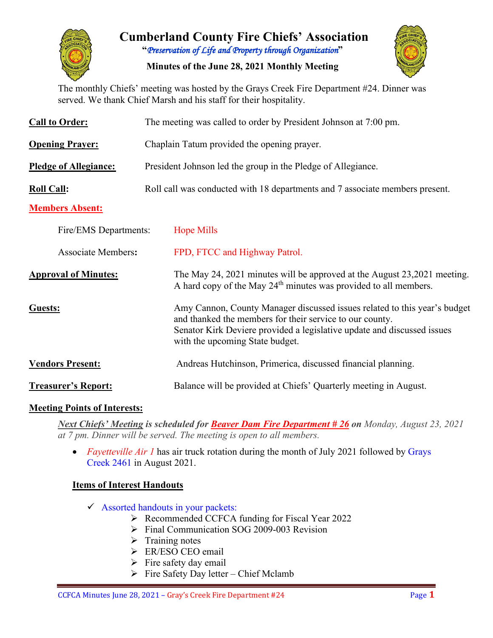

# **Cumberland County Fire Chiefs' Association "***Preservation of Life and Property through Organization***"**

**Minutes of the June 28, 2021 Monthly Meeting**



The monthly Chiefs' meeting was hosted by the Grays Creek Fire Department #24. Dinner was served. We thank Chief Marsh and his staff for their hospitality.

| <b>Call to Order:</b>        | The meeting was called to order by President Johnson at 7:00 pm.             |                                                                                                                                                                                                                                                     |  |  |  |  |  |  |  |
|------------------------------|------------------------------------------------------------------------------|-----------------------------------------------------------------------------------------------------------------------------------------------------------------------------------------------------------------------------------------------------|--|--|--|--|--|--|--|
| <b>Opening Prayer:</b>       | Chaplain Tatum provided the opening prayer.                                  |                                                                                                                                                                                                                                                     |  |  |  |  |  |  |  |
| <b>Pledge of Allegiance:</b> | President Johnson led the group in the Pledge of Allegiance.                 |                                                                                                                                                                                                                                                     |  |  |  |  |  |  |  |
| <b>Roll Call:</b>            | Roll call was conducted with 18 departments and 7 associate members present. |                                                                                                                                                                                                                                                     |  |  |  |  |  |  |  |
| <b>Members Absent:</b>       |                                                                              |                                                                                                                                                                                                                                                     |  |  |  |  |  |  |  |
| Fire/EMS Departments:        |                                                                              | <b>Hope Mills</b>                                                                                                                                                                                                                                   |  |  |  |  |  |  |  |
| <b>Associate Members:</b>    |                                                                              | FPD, FTCC and Highway Patrol.                                                                                                                                                                                                                       |  |  |  |  |  |  |  |
| <b>Approval of Minutes:</b>  |                                                                              | The May 24, 2021 minutes will be approved at the August 23, 2021 meeting.<br>A hard copy of the May 24 <sup>th</sup> minutes was provided to all members.                                                                                           |  |  |  |  |  |  |  |
| Guests:                      |                                                                              | Amy Cannon, County Manager discussed issues related to this year's budget<br>and thanked the members for their service to our county.<br>Senator Kirk Deviere provided a legislative update and discussed issues<br>with the upcoming State budget. |  |  |  |  |  |  |  |
| <b>Vendors Present:</b>      |                                                                              | Andreas Hutchinson, Primerica, discussed financial planning.                                                                                                                                                                                        |  |  |  |  |  |  |  |
| <b>Treasurer's Report:</b>   |                                                                              | Balance will be provided at Chiefs' Quarterly meeting in August.                                                                                                                                                                                    |  |  |  |  |  |  |  |

#### **Meeting Points of Interests:**

*Next Chiefs' Meeting is scheduled for Beaver Dam Fire Department # 26 on Monday, August 23, 2021 at 7 pm. Dinner will be served. The meeting is open to all members.* 

• *Fayetteville Air 1* has air truck rotation during the month of July 2021 followed by Grays Creek 2461 in August 2021.

### **Items of Interest Handouts**

- $\checkmark$  Assorted handouts in your packets:
	- ▶ Recommended CCFCA funding for Fiscal Year 2022
	- Final Communication SOG 2009-003 Revision
	- $\triangleright$  Training notes
	- ER/ESO CEO email
	- $\triangleright$  Fire safety day email
	- $\triangleright$  Fire Safety Day letter Chief Mclamb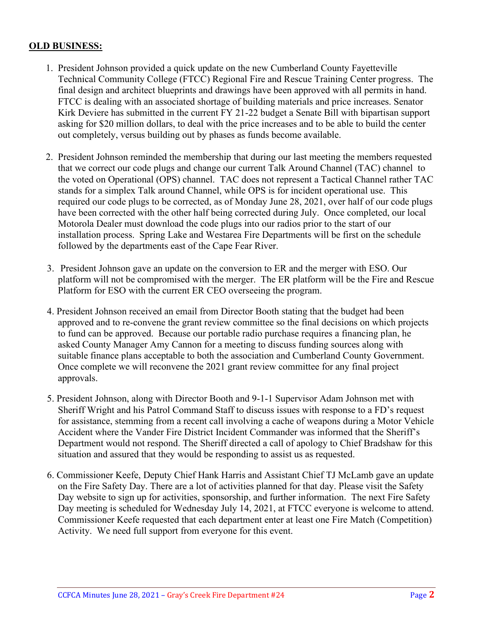#### **OLD BUSINESS:**

- 1. President Johnson provided a quick update on the new Cumberland County Fayetteville Technical Community College (FTCC) Regional Fire and Rescue Training Center progress. The final design and architect blueprints and drawings have been approved with all permits in hand. FTCC is dealing with an associated shortage of building materials and price increases. Senator Kirk Deviere has submitted in the current FY 21-22 budget a Senate Bill with bipartisan support asking for \$20 million dollars, to deal with the price increases and to be able to build the center out completely, versus building out by phases as funds become available.
- 2. President Johnson reminded the membership that during our last meeting the members requested that we correct our code plugs and change our current Talk Around Channel (TAC) channel to the voted on Operational (OPS) channel. TAC does not represent a Tactical Channel rather TAC stands for a simplex Talk around Channel, while OPS is for incident operational use. This required our code plugs to be corrected, as of Monday June 28, 2021, over half of our code plugs have been corrected with the other half being corrected during July. Once completed, our local Motorola Dealer must download the code plugs into our radios prior to the start of our installation process. Spring Lake and Westarea Fire Departments will be first on the schedule followed by the departments east of the Cape Fear River.
- 3. President Johnson gave an update on the conversion to ER and the merger with ESO. Our platform will not be compromised with the merger. The ER platform will be the Fire and Rescue Platform for ESO with the current ER CEO overseeing the program.
- 4. President Johnson received an email from Director Booth stating that the budget had been approved and to re-convene the grant review committee so the final decisions on which projects to fund can be approved. Because our portable radio purchase requires a financing plan, he asked County Manager Amy Cannon for a meeting to discuss funding sources along with suitable finance plans acceptable to both the association and Cumberland County Government. Once complete we will reconvene the 2021 grant review committee for any final project approvals.
- 5. President Johnson, along with Director Booth and 9-1-1 Supervisor Adam Johnson met with Sheriff Wright and his Patrol Command Staff to discuss issues with response to a FD's request for assistance, stemming from a recent call involving a cache of weapons during a Motor Vehicle Accident where the Vander Fire District Incident Commander was informed that the Sheriff's Department would not respond. The Sheriff directed a call of apology to Chief Bradshaw for this situation and assured that they would be responding to assist us as requested.
- 6. Commissioner Keefe, Deputy Chief Hank Harris and Assistant Chief TJ McLamb gave an update on the Fire Safety Day. There are a lot of activities planned for that day. Please visit the Safety Day website to sign up for activities, sponsorship, and further information. The next Fire Safety Day meeting is scheduled for Wednesday July 14, 2021, at FTCC everyone is welcome to attend. Commissioner Keefe requested that each department enter at least one Fire Match (Competition) Activity. We need full support from everyone for this event.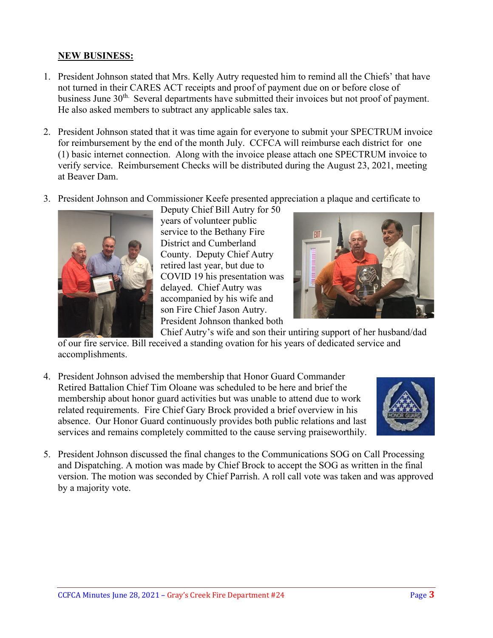### **NEW BUSINESS:**

- 1. President Johnson stated that Mrs. Kelly Autry requested him to remind all the Chiefs' that have not turned in their CARES ACT receipts and proof of payment due on or before close of business June 30<sup>th.</sup> Several departments have submitted their invoices but not proof of payment. He also asked members to subtract any applicable sales tax.
- 2. President Johnson stated that it was time again for everyone to submit your SPECTRUM invoice for reimbursement by the end of the month July. CCFCA will reimburse each district for one (1) basic internet connection. Along with the invoice please attach one SPECTRUM invoice to verify service. Reimbursement Checks will be distributed during the August 23, 2021, meeting at Beaver Dam.
- 3. President Johnson and Commissioner Keefe presented appreciation a plaque and certificate to



Deputy Chief Bill Autry for 50 years of volunteer public service to the Bethany Fire District and Cumberland County. Deputy Chief Autry retired last year, but due to COVID 19 his presentation was delayed. Chief Autry was accompanied by his wife and son Fire Chief Jason Autry. President Johnson thanked both



Chief Autry's wife and son their untiring support of her husband/dad of our fire service. Bill received a standing ovation for his years of dedicated service and accomplishments.

4. President Johnson advised the membership that Honor Guard Commander Retired Battalion Chief Tim Oloane was scheduled to be here and brief the membership about honor guard activities but was unable to attend due to work related requirements. Fire Chief Gary Brock provided a brief overview in his absence. Our Honor Guard continuously provides both public relations and last services and remains completely committed to the cause serving praiseworthily.



5. President Johnson discussed the final changes to the Communications SOG on Call Processing and Dispatching. A motion was made by Chief Brock to accept the SOG as written in the final version. The motion was seconded by Chief Parrish. A roll call vote was taken and was approved by a majority vote.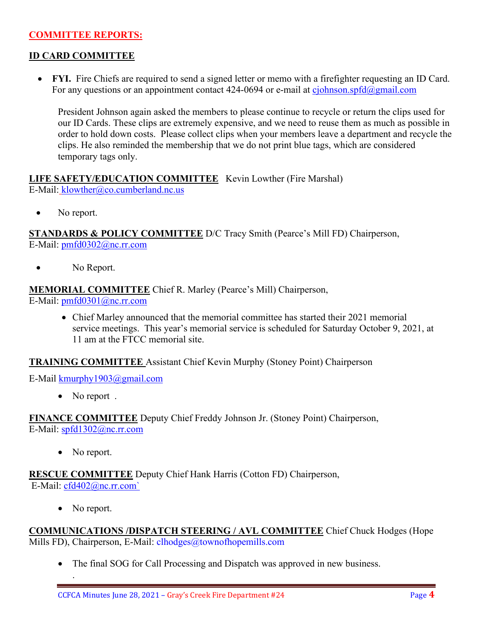### **COMMITTEE REPORTS:**

### **ID CARD COMMITTEE**

• **FYI.** Fire Chiefs are required to send a signed letter or memo with a firefighter requesting an ID Card. For any questions or an appointment contact 424-0694 or e-mail at [cjohnson.spfd@gmail.com](mailto:cjohnson.spfd@gmail.com)

President Johnson again asked the members to please continue to recycle or return the clips used for our ID Cards. These clips are extremely expensive, and we need to reuse them as much as possible in order to hold down costs. Please collect clips when your members leave a department and recycle the clips. He also reminded the membership that we do not print blue tags, which are considered temporary tags only.

**LIFE SAFETY/EDUCATION COMMITTEE** Kevin Lowther (Fire Marshal) E-Mail: [klowther@co.cumberland.nc.us](mailto:klowther@co.cumberland.nc.us)

• No report.

**STANDARDS & POLICY COMMITTEE** D/C Tracy Smith (Pearce's Mill FD) Chairperson, E-Mail: [pmfd0302@nc.rr.com](mailto:pmfd0302@nc.rr.com)

• No Report.

**MEMORIAL COMMITTEE** Chief R. Marley (Pearce's Mill) Chairperson, E-Mail: [pmfd0301@nc.rr.com](mailto:pmfd0301@nc.rr.com)

> • Chief Marley announced that the memorial committee has started their 2021 memorial service meetings. This year's memorial service is scheduled for Saturday October 9, 2021, at 11 am at the FTCC memorial site.

**TRAINING COMMITTEE** Assistant Chief Kevin Murphy (Stoney Point) Chairperson

E-Mail [kmurphy1903@gmail.com](mailto:kmurphy1903@gmail.com)

• No report.

**FINANCE COMMITTEE** Deputy Chief Freddy Johnson Jr. (Stoney Point) Chairperson, E-Mail: [spfd1302@nc.rr.com](mailto:spfd1302@nc.rr.com)

• No report.

**RESCUE COMMITTEE** Deputy Chief Hank Harris (Cotton FD) Chairperson, E-Mail: [cfd402@nc.rr.com`](mailto:cfd402@nc.rr.com)

• No report.

.

**COMMUNICATIONS /DISPATCH STEERING / AVL COMMITTEE** Chief Chuck Hodges (Hope Mills FD), Chairperson, E-Mail: clhodges@townofhopemills.com

• The final SOG for Call Processing and Dispatch was approved in new business.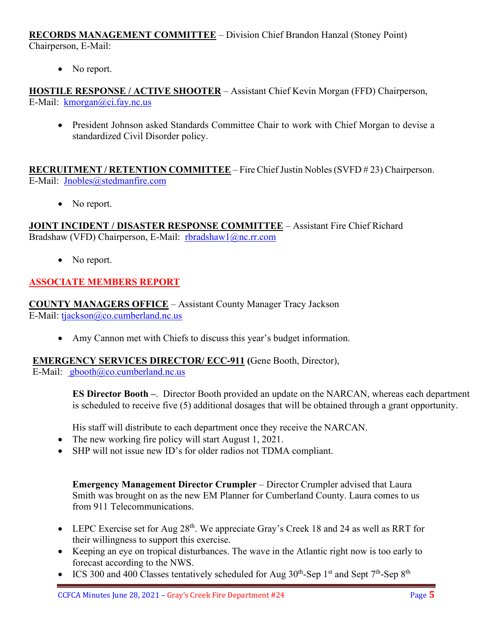**RECORDS MANAGEMENT COMMITTEE** – Division Chief Brandon Hanzal (Stoney Point) Chairperson, E-Mail:

• No report.

**HOSTILE RESPONSE / ACTIVE SHOOTER** – Assistant Chief Kevin Morgan (FFD) Chairperson, E-Mail: [kmorgan@ci.fay.nc.us](mailto:kmorgan@ci.fay.nc.us)

• President Johnson asked Standards Committee Chair to work with Chief Morgan to devise a standardized Civil Disorder policy.

**RECRUITMENT / RETENTION COMMITTEE** – Fire Chief Justin Nobles (SVFD # 23) Chairperson. E-Mail: [Jnobles@stedmanfire.com](mailto:Jnobles@stedmanfire.com)

• No report.

**JOINT INCIDENT / DISASTER RESPONSE COMMITTEE** – Assistant Fire Chief Richard Bradshaw (VFD) Chairperson, E-Mail: [rbradshaw1@nc.rr.com](mailto:rbradshaw1@nc.rr.com)

• No report.

# **ASSOCIATE MEMBERS REPORT**

**COUNTY MANAGERS OFFICE** – Assistant County Manager Tracy Jackson E-Mail: [tjackson@co.cumberland.nc.us](mailto:tjackson@co.cumberland.nc.us)

• Amy Cannon met with Chiefs to discuss this year's budget information.

### **EMERGENCY SERVICES DIRECTOR/ ECC-911 (**Gene Booth, Director),

E-Mail:  $\text{gbooth}(\partial \text{co.cumberland}.\text{nc.us})$ 

**ES Director Booth –**. Director Booth provided an update on the NARCAN, whereas each department is scheduled to receive five (5) additional dosages that will be obtained through a grant opportunity.

His staff will distribute to each department once they receive the NARCAN.

- The new working fire policy will start August 1, 2021.
- SHP will not issue new ID's for older radios not TDMA compliant.

**Emergency Management Director Crumpler** – Director Crumpler advised that Laura Smith was brought on as the new EM Planner for Cumberland County. Laura comes to us from 911 Telecommunications.

- LEPC Exercise set for Aug  $28<sup>th</sup>$ . We appreciate Gray's Creek 18 and 24 as well as RRT for their willingness to support this exercise.
- Keeping an eye on tropical disturbances. The wave in the Atlantic right now is too early to forecast according to the NWS.
- ICS 300 and 400 Classes tentatively scheduled for Aug  $30<sup>th</sup>$ -Sep 1<sup>st</sup> and Sept 7<sup>th</sup>-Sep 8<sup>th</sup>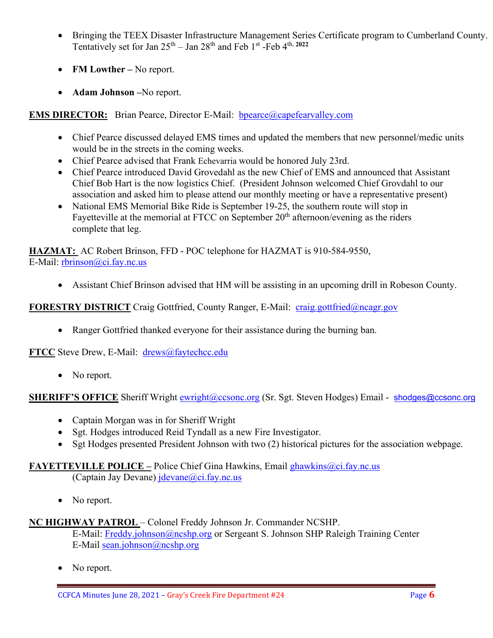- Bringing the TEEX Disaster Infrastructure Management Series Certificate program to Cumberland County. Tentatively set for Jan  $25<sup>th</sup> - Jan 28<sup>th</sup>$  and Feb  $1<sup>st</sup>$  -Feb  $4<sup>th</sup>$ ,  $2022$
- **FM Lowther –** No report.
- **Adam Johnson –**No report.

### **EMS DIRECTOR:** Brian Pearce, Director E-Mail: **bpearce@capefearvalley.com**

- Chief Pearce discussed delayed EMS times and updated the members that new personnel/medic units would be in the streets in the coming weeks.
- Chief Pearce advised that Frank Echevarria would be honored July 23rd.
- Chief Pearce introduced David Grovedahl as the new Chief of EMS and announced that Assistant Chief Bob Hart is the now logistics Chief. (President Johnson welcomed Chief Grovdahl to our association and asked him to please attend our monthly meeting or have a representative present)
- National EMS Memorial Bike Ride is September 19-25, the southern route will stop in Fayetteville at the memorial at FTCC on September  $20<sup>th</sup>$  afternoon/evening as the riders complete that leg.

**HAZMAT:** AC Robert Brinson, FFD - POC telephone for HAZMAT is 910-584-9550, E-Mail: [rbrinson@ci.fay.nc.us](mailto:rbrinson@ci.fay.nc.us)

• Assistant Chief Brinson advised that HM will be assisting in an upcoming drill in Robeson County.

### **FORESTRY DISTRICT** Craig Gottfried, County Ranger, E-Mail: [craig.gottfried@ncagr.gov](mailto:craig.gottfried@ncagr.gov)

• Ranger Gottfried thanked everyone for their assistance during the burning ban.

**FTCC** Steve Drew, E-Mail: [drews@faytechcc.edu](mailto:drews@faytechcc.edu)

• No report.

**SHERIFF'S OFFICE** Sheriff Wright **ewright@ccsonc.org** (Sr. Sgt. Steven Hodges) Email - [shodges@ccsonc.org](mailto:shodges@ccsonc.org)

- Captain Morgan was in for Sheriff Wright
- Sgt. Hodges introduced Reid Tyndall as a new Fire Investigator.
- Sgt Hodges presented President Johnson with two (2) historical pictures for the association webpage.

#### **FAYETTEVILLE POLICE –** Police Chief Gina Hawkins, Email [ghawkins@ci.fay.nc.us](mailto:ghawkins@ci.fay.nc.us)

(Captain Jay Devane)  $idevane@ci.fay.nc.us$ 

• No report.

#### **NC HIGHWAY PATROL** – Colonel Freddy Johnson Jr. Commander NCSHP.

E-Mail: [Freddy.johnson@ncshp.org](mailto:Freddy.johnson@ncshp.org) or Sergeant S. Johnson SHP Raleigh Training Center E-Mail [sean.johnson@ncshp.org](mailto:sean.johnson@ncshp.org)

No report.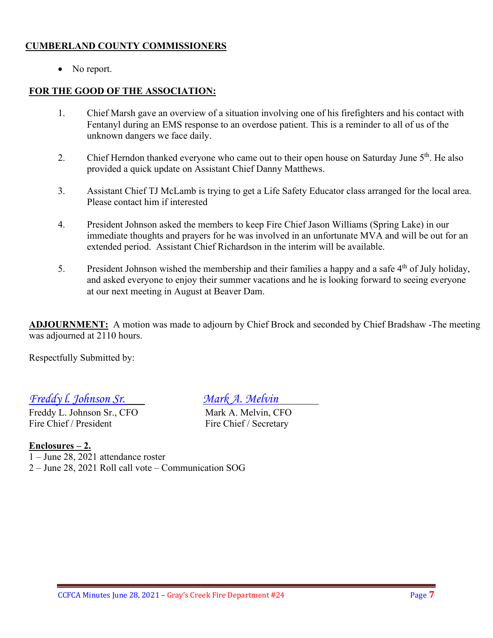### **CUMBERLAND COUNTY COMMISSIONERS**

• No report.

### **FOR THE GOOD OF THE ASSOCIATION:**

- 1. Chief Marsh gave an overview of a situation involving one of his firefighters and his contact with Fentanyl during an EMS response to an overdose patient. This is a reminder to all of us of the unknown dangers we face daily.
- 2. Chief Herndon thanked everyone who came out to their open house on Saturday June 5<sup>th</sup>. He also provided a quick update on Assistant Chief Danny Matthews.
- 3. Assistant Chief TJ McLamb is trying to get a Life Safety Educator class arranged for the local area. Please contact him if interested
- 4. President Johnson asked the members to keep Fire Chief Jason Williams (Spring Lake) in our immediate thoughts and prayers for he was involved in an unfortunate MVA and will be out for an extended period. Assistant Chief Richardson in the interim will be available.
- 5. President Johnson wished the membership and their families a happy and a safe 4<sup>th</sup> of July holiday, and asked everyone to enjoy their summer vacations and he is looking forward to seeing everyone at our next meeting in August at Beaver Dam.

**ADJOURNMENT:** A motion was made to adjourn by Chief Brock and seconded by Chief Bradshaw -The meeting was adjourned at 2110 hours.

Respectfully Submitted by:

### *Freddy l. Johnson Sr. Mark A. Melvin*

Freddy L. Johnson Sr., CFO<br>
Fire Chief / President<br>
Fire Chief / Secretary

Fire Chief / Secretary

### **Enclosures – 2.**

1 – June 28, 2021 attendance roster 2 – June 28, 2021 Roll call vote – Communication SOG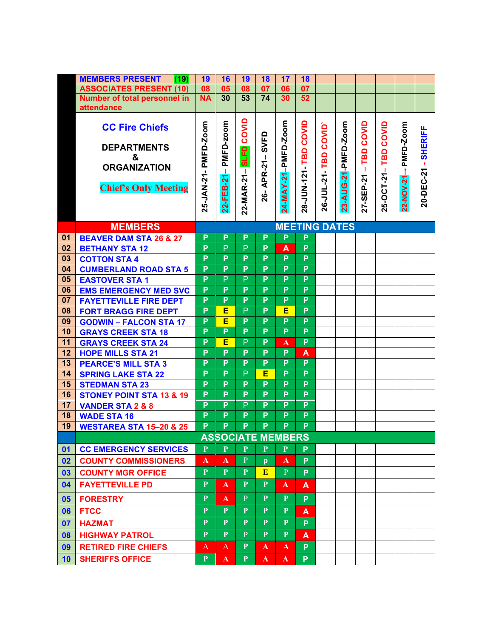|    | <b>MEMBERS PRESENT</b><br>(19)      | 19           | 16           | 19                       | <b>18</b>            | 17                  | <b>18</b>      |            |                     |           |            |              |                |
|----|-------------------------------------|--------------|--------------|--------------------------|----------------------|---------------------|----------------|------------|---------------------|-----------|------------|--------------|----------------|
|    | <b>ASSOCIATES PRESENT (10)</b>      | 08           | 05           | 08                       | 07                   | 06                  | 07             |            |                     |           |            |              |                |
|    | Number of total personnel in        | <b>NA</b>    | 30           | 53                       | 74                   | 30                  | 52             |            |                     |           |            |              |                |
|    | attendance                          |              |              |                          |                      |                     |                |            |                     |           |            |              |                |
|    |                                     |              |              |                          |                      |                     |                |            |                     |           |            |              |                |
|    | <b>CC Fire Chiefs</b>               |              | PMFD-zoom    | COVID                    |                      | 24-MAY-21-PMFD-Zoom | COVID          | COVID      | 23-AUG-21-PMFD-Zoom | COVID     | COVID      | PMFD-Zoom    | <b>SHERIFF</b> |
|    | <b>DEPARTMENTS</b>                  |              |              |                          | SVFD                 |                     |                |            |                     |           |            |              |                |
|    | &                                   | PMFD-Zoom    |              | <b>SLFD</b>              |                      |                     | 28-JUN-121-TBD |            |                     | TBD       | TBD        |              |                |
|    | <b>ORGANIZATION</b>                 |              |              |                          |                      |                     |                | TBD        |                     |           |            |              |                |
|    |                                     |              | ┸            |                          | APR-21-              |                     |                |            |                     | т         |            |              |                |
|    | <b>Chief's Only Meeting</b>         |              |              |                          |                      |                     |                |            |                     |           |            |              | 20-DEC-21      |
|    |                                     |              |              |                          | 26-                  |                     |                |            |                     |           |            |              |                |
|    |                                     | 25-JAN-21-   | 22-FEB-21    | 22-MAR-21-               |                      |                     |                | 26-JUL-21- |                     | 27-SEP-21 | 25-OCT-21- | $22-NOV-21-$ |                |
|    |                                     |              |              |                          |                      |                     |                |            |                     |           |            |              |                |
|    | <b>MEMBERS</b>                      |              |              |                          | <b>MEETING DATES</b> |                     |                |            |                     |           |            |              |                |
| 01 | <b>BEAVER DAM STA 26 &amp; 27</b>   | P            | P            | P                        | P                    | P                   | P              |            |                     |           |            |              |                |
| 02 | <b>BETHANY STA 12</b>               | P            | P            | P                        | P                    | A                   | P              |            |                     |           |            |              |                |
| 03 | <b>COTTON STA 4</b>                 | P            | P            | P                        | P                    | P                   | P              |            |                     |           |            |              |                |
| 04 | <b>CUMBERLAND ROAD STA 5</b>        | P            | P            | P                        | P                    | P                   | P              |            |                     |           |            |              |                |
| 05 | <b>EASTOVER STA 1</b>               | P            | $\mathsf{P}$ | $\mathsf{P}$             | $\overline{P}$       | P                   | P              |            |                     |           |            |              |                |
| 06 | <b>EMS EMERGENCY MED SVC</b>        | P            | P            | P                        | $\overline{P}$       | P                   | $\overline{P}$ |            |                     |           |            |              |                |
| 07 | <b>FAYETTEVILLE FIRE DEPT</b>       | P            | P            | P                        | P                    | P                   | P              |            |                     |           |            |              |                |
| 08 | <b>FORT BRAGG FIRE DEPT</b>         | P            | Е            | P                        | P                    | Е                   | P              |            |                     |           |            |              |                |
| 09 | <b>GODWIN - FALCON STA 17</b>       | P            | E            | P                        | P                    | P                   | $\overline{P}$ |            |                     |           |            |              |                |
| 10 | <b>GRAYS CREEK STA 18</b>           | P            | P            | P                        | P                    | P                   | P              |            |                     |           |            |              |                |
| 11 | <b>GRAYS CREEK STA 24</b>           | P            | E            | $\mathsf{P}$             | P                    | A                   | P              |            |                     |           |            |              |                |
| 12 | <b>HOPE MILLS STA 21</b>            | P            | P            | P                        | $\overline{P}$       | P                   | A              |            |                     |           |            |              |                |
| 13 | <b>PEARCE'S MILL STA 3</b>          | P            | P            | P                        | P                    | P                   | P              |            |                     |           |            |              |                |
| 14 | <b>SPRING LAKE STA 22</b>           | P            | P            | P                        | Е                    | P                   | P              |            |                     |           |            |              |                |
| 15 | <b>STEDMAN STA 23</b>               | P            | P            | P                        | P                    | P                   | P              |            |                     |           |            |              |                |
| 16 | <b>STONEY POINT STA 13 &amp; 19</b> | P            | P            | P                        | P                    | P                   | P              |            |                     |           |            |              |                |
| 17 | <b>VANDER STA 2 &amp; 8</b>         | P            | P            | P                        | P                    | P                   | P              |            |                     |           |            |              |                |
| 18 | <b>WADE STA 16</b>                  | P            | P            | P                        | P                    | P                   | P              |            |                     |           |            |              |                |
| 19 | <b>WESTAREA STA 15-20 &amp; 25</b>  | P            | P            | P                        | P                    | P                   | P              |            |                     |           |            |              |                |
|    |                                     |              |              | <b>ASSOCIATE MEMBERS</b> |                      |                     |                |            |                     |           |            |              |                |
| 01 | <b>CC EMERGENCY SERVICES</b>        | $\mathbf{P}$ | $\mathbf{P}$ | $\mathbf{P}$             | $\mathbf{P}$         | $\mathbf{P}$        | P              |            |                     |           |            |              |                |
| 02 | <b>COUNTY COMMISSIONERS</b>         | A            | A            | P                        | $\mathbf{p}$         | A                   | P.             |            |                     |           |            |              |                |
| 03 | <b>COUNTY MGR OFFICE</b>            | $\mathbf{P}$ | P            | P                        | E                    | P                   | P.             |            |                     |           |            |              |                |
| 04 | <b>FAYETTEVILLE PD</b>              | $\mathbf{P}$ | A            | P                        | $\mathbf{P}$         | A                   | A              |            |                     |           |            |              |                |
| 05 | <b>FORESTRY</b>                     | $\mathbf{P}$ | A            | $\mathbf{P}$             | $\mathbf{P}$         | P                   | P.             |            |                     |           |            |              |                |
| 06 | <b>FTCC</b>                         | $\mathbf{P}$ | $\mathbf{P}$ | $\mathbf{P}$             | $\mathbf{P}$         | $\mathbf{P}$        | A              |            |                     |           |            |              |                |
| 07 | <b>HAZMAT</b>                       | $\mathbf{P}$ | $\mathbf{P}$ | $\mathbf{P}$             | $\mathbf{P}$         | $\mathbf{P}$        | P.             |            |                     |           |            |              |                |
| 08 | <b>HIGHWAY PATROL</b>               | $\mathbf{P}$ | $\mathbf{P}$ | P                        | $\mathbf{P}$         | P                   | A              |            |                     |           |            |              |                |
| 09 | <b>RETIRED FIRE CHIEFS</b>          | A            | A            | $\mathbf{P}$             | $\mathbf{A}$         | $\mathbf{A}$        | P.             |            |                     |           |            |              |                |
| 10 | <b>SHERIFFS OFFICE</b>              | $\mathbf{P}$ | $\mathbf{A}$ | $\mathbf{P}$             | $\mathbf{A}$         | $\mathbf{A}$        | P.             |            |                     |           |            |              |                |